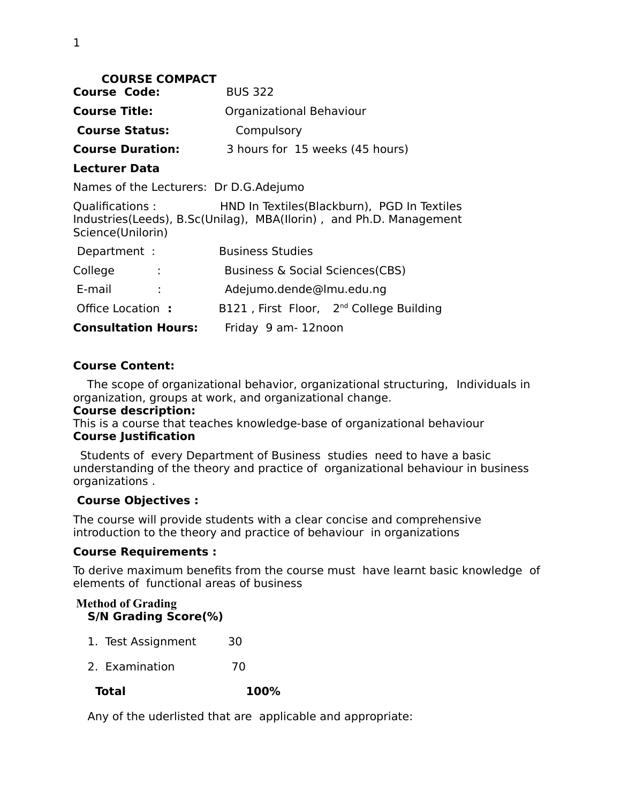| <b>COURSE COMPACT</b>                  |                                                                                                                       |
|----------------------------------------|-----------------------------------------------------------------------------------------------------------------------|
| <b>Course Code:</b>                    | <b>BUS 322</b>                                                                                                        |
| <b>Course Title:</b>                   | Organizational Behaviour                                                                                              |
| <b>Course Status:</b>                  | Compulsory                                                                                                            |
| <b>Course Duration:</b>                | 3 hours for 15 weeks (45 hours)                                                                                       |
| <b>Lecturer Data</b>                   |                                                                                                                       |
| Names of the Lecturers: Dr D.G.Adejumo |                                                                                                                       |
| Qualifications:<br>Science(Unilorin)   | HND In Textiles (Blackburn), PGD In Textiles<br>Industries (Leeds), B.Sc (Unilag), MBA (Ilorin), and Ph.D. Management |
| Department :                           | <b>Business Studies</b>                                                                                               |
| College                                | Business & Social Sciences (CBS)                                                                                      |
| E-mail<br>÷                            | Adejumo.dende@lmu.edu.ng                                                                                              |
| Office Location:                       | B121, First Floor, 2 <sup>nd</sup> College Building                                                                   |
| <b>Consultation Hours:</b>             | Friday 9 am-12noon                                                                                                    |

#### **Course Content:**

 The scope of organizational behavior, organizational structuring,Individuals in organization, groups at work, and organizational change.

#### **Course description:**

This is a course that teaches knowledge-base of organizational behaviour **Course Justification**

 Students of every Department of Business studies need to have a basic understanding of the theory and practice of organizational behaviour in business organizations .

#### **Course Objectives :**

The course will provide students with a clear concise and comprehensive introduction to the theory and practice of behaviour in organizations

#### **Course Requirements :**

To derive maximum benefits from the course must have learnt basic knowledge of elements of functional areas of business

#### **Method of Grading S/N Grading Score(%)**

- 1. Test Assignment 30
- 2. Examination 70

#### **Total 100%**

Any of the uderlisted that are applicable and appropriate: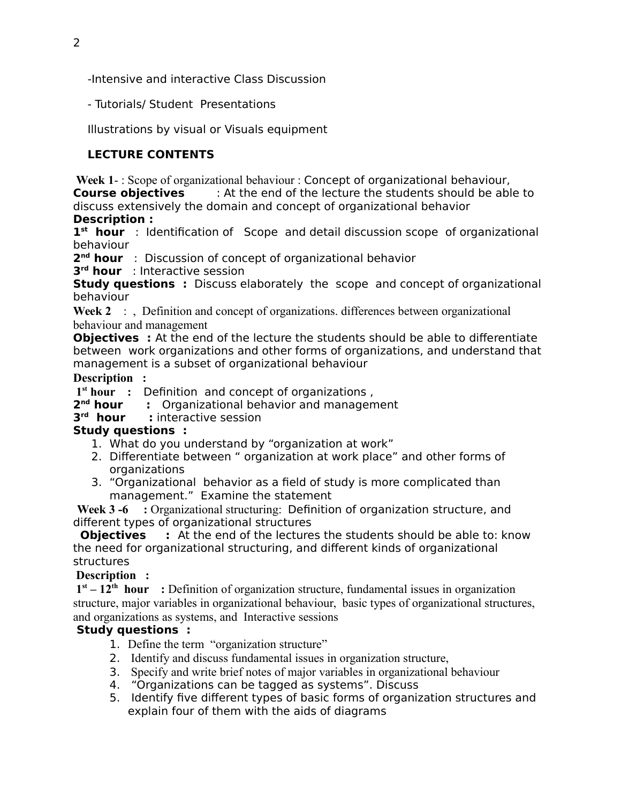-Intensive and interactive Class Discussion

- Tutorials/ Student Presentations

Illustrations by visual or Visuals equipment

# **LECTURE CONTENTS**

 **Week 1**- : Scope of organizational behaviour : Concept of organizational behaviour, **Course objectives** : At the end of the lecture the students should be able to discuss extensively the domain and concept of organizational behavior

### **Description :**

**1 st hour** : Identification of Scope and detail discussion scope of organizational behaviour

**2 nd hour** : Discussion of concept of organizational behavior

**3 rd hour** : Interactive session

**Study questions :** Discuss elaborately the scope and concept of organizational behaviour

Week 2 : , Definition and concept of organizations. differences between organizational behaviour and management

**Objectives** : At the end of the lecture the students should be able to differentiate between work organizations and other forms of organizations, and understand that management is a subset of organizational behaviour

### **Description :**

**1 st hour :** Definition and concept of organizations ,

**2 nd hour :** Organizational behavior and management

# **3 rd hour :** interactive session

# **Study questions :**

- 1. What do you understand by "organization at work"
- 2. Differentiate between " organization at work place" and other forms of organizations
- 3. "Organizational behavior as a field of study is more complicated than management." Examine the statement

**Week 3 -6 :** Organizational structuring: Definition of organization structure, and different types of organizational structures

**Objectives** : At the end of the lectures the students should be able to: know the need for organizational structuring, and different kinds of organizational structures

# **Description :**

 **1st – 12th hour :** Definition of organization structure, fundamental issues in organization structure, major variables in organizational behaviour, basic types of organizational structures, and organizations as systems, and Interactive sessions

# **Study questions :**

- 1. Define the term "organization structure"
- 2. Identify and discuss fundamental issues in organization structure,
- 3. Specify and write brief notes of major variables in organizational behaviour
- 4. "Organizations can be tagged as systems". Discuss
- 5. Identify five different types of basic forms of organization structures and explain four of them with the aids of diagrams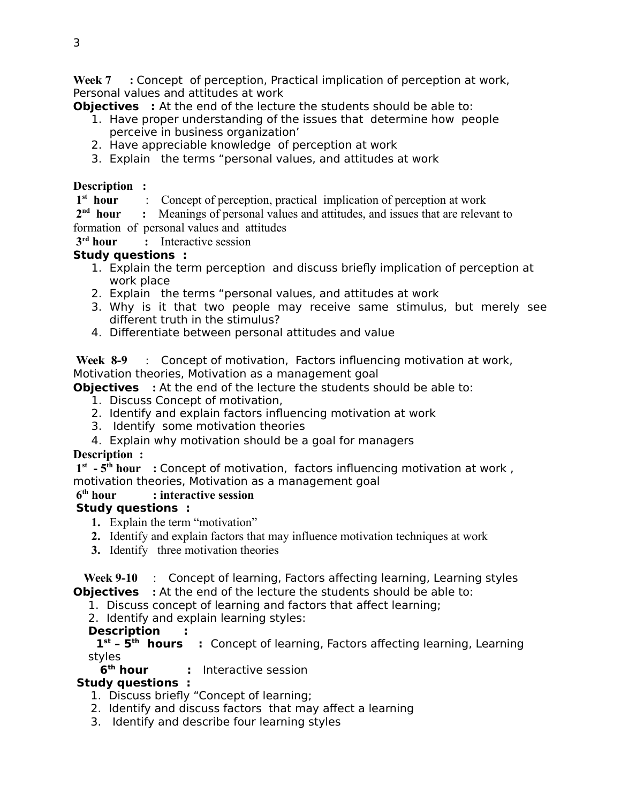**Week 7 :** Concept of perception, Practical implication of perception at work, Personal values and attitudes at work

**Objectives** : At the end of the lecture the students should be able to:

- 1. Have proper understanding of the issues that determine how people perceive in business organization'
- 2. Have appreciable knowledge of perception at work
- 3. Explain the terms "personal values, and attitudes at work

#### **Description :**

 **1st hour** : Concept of perception, practical implication of perception at work

 **2nd hour :** Meanings of personal values and attitudes, and issues that are relevant to formation of personal values and attitudes

 **3rd hour :** Interactive session

# **Study questions :**

- 1. Explain the term perception and discuss briefly implication of perception at work place
- 2. Explain the terms "personal values, and attitudes at work
- 3. Why is it that two people may receive same stimulus, but merely see different truth in the stimulus?
- 4. Differentiate between personal attitudes and value

 **Week 8-9** : Concept of motivation, Factors influencing motivation at work, Motivation theories, Motivation as a management goal

**Objectives :** At the end of the lecture the students should be able to:

- 1. Discuss Concept of motivation,
- 2. Identify and explain factors influencing motivation at work
- 3. Identify some motivation theories
- 4. Explain why motivation should be a goal for managers

# **Description :**

 **1st - 5th hour :** Concept of motivation, factors influencing motivation at work , motivation theories, Motivation as a management goal

# **6th hour : interactive session**

# **Study questions :**

- **1.** Explain the term "motivation"
- **2.** Identify and explain factors that may influence motivation techniques at work
- **3.** Identify three motivation theories

 **Week 9-10** : Concept of learning, Factors affecting learning, Learning styles **Objectives** : At the end of the lecture the students should be able to:

- 1. Discuss concept of learning and factors that affect learning;
- 2. Identify and explain learning styles:

# **Description :**

 **1st – 5th hours :** Concept of learning, Factors affecting learning, Learning styles<br>6<sup>th</sup> hour

# **1** Interactive session

# **Study questions :**

- 1. Discuss briefly "Concept of learning;
- 2. Identify and discuss factors that may affect a learning
- 3. Identify and describe four learning styles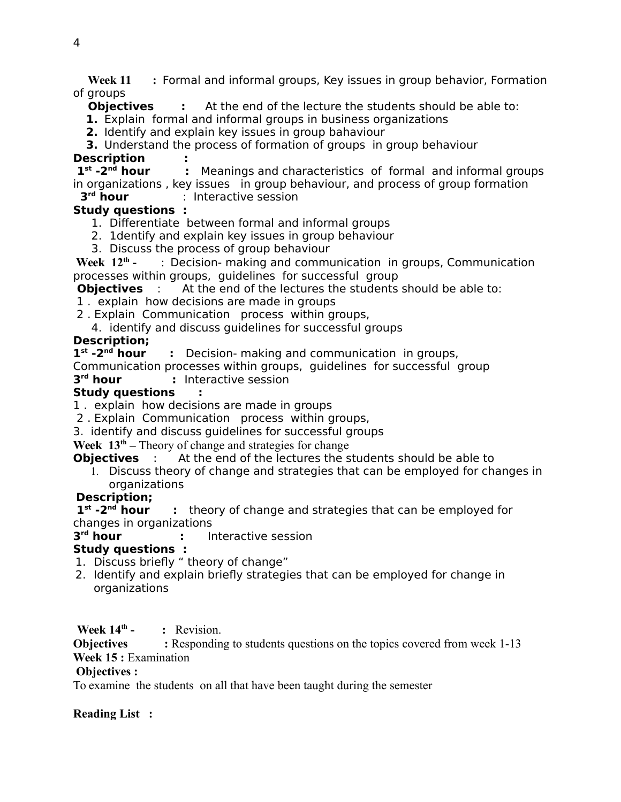**Week 11 :** Formal and informal groups, Key issues in group behavior, Formation of groups

**Objectives :** At the end of the lecture the students should be able to:

**1.** Explain formal and informal groups in business organizations

**2.** Identify and explain key issues in group bahaviour

**3.** Understand the process of formation of groups in group behaviour

**Description : :** Meanings and characteristics of formal and informal groups in organizations , key issues in group behaviour, and process of group formation

#### 3<sup>rd</sup> hour *r* Interactive session

#### **Study questions :**

- 1. Differentiate between formal and informal groups
- 2. 1dentify and explain key issues in group behaviour
- 3. Discuss the process of group behaviour

 **Week 12th -** : Decision- making and communication in groups, Communication processes within groups, guidelines for successful group

**Objectives** : At the end of the lectures the students should be able to:

1 . explain how decisions are made in groups

2 . Explain Communication process within groups,

4. identify and discuss guidelines for successful groups

### **Description;**

 $1^{st}$  -2<sup>nd</sup> hour **EX** Decision- making and communication in groups,

Communication processes within groups, guidelines for successful group

#### 3<sup>rd</sup> hour **:** Interactive session

#### **Study questions :**

1 . explain how decisions are made in groups

2 . Explain Communication process within groups,

3. identify and discuss guidelines for successful groups

#### **Week 13th –** Theory of change and strategies for change

**Objectives** : At the end of the lectures the students should be able to

1. Discuss theory of change and strategies that can be employed for changes in organizations

# **Description;**

 $1^{\text{st}}$  -2<sup>nd</sup> hour **:** theory of change and strategies that can be employed for changes in organizations

#### 3<sup>rd</sup> hour *r* Interactive session

# **Study questions :**

1. Discuss briefly " theory of change"

2. Identify and explain briefly strategies that can be employed for change in organizations

Week 14<sup>th</sup> - : Revision.

**Objectives :** Responding to students questions on the topics covered from week 1-13 **Week 15 :** Examination

#### **Objectives :**

To examine the students on all that have been taught during the semester

#### **Reading List :**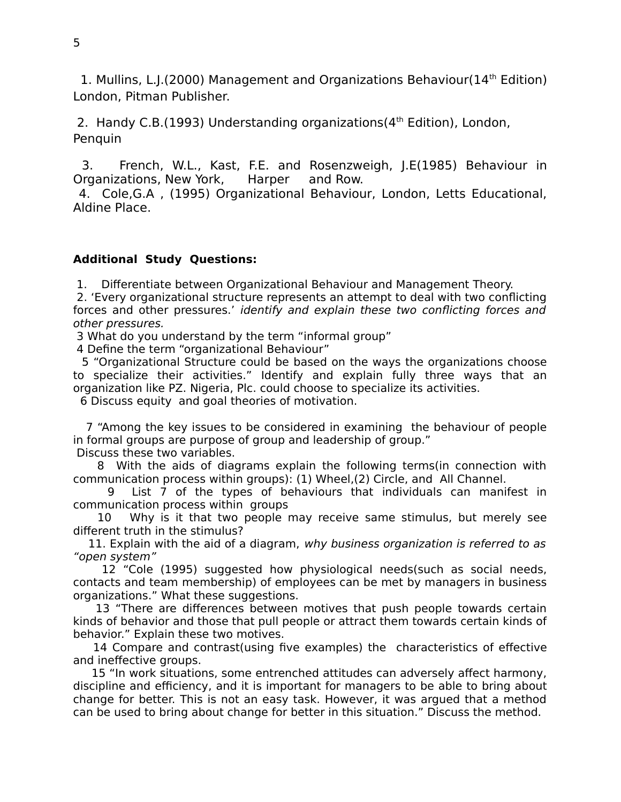1. Mullins, L.J.(2000) Management and Organizations Behaviour( $14<sup>th</sup>$  Edition) London, Pitman Publisher.

2. Handy C.B. (1993) Understanding organizations  $(4<sup>th</sup>$  Edition), London, Penquin

 3. French, W.L., Kast, F.E. and Rosenzweigh, J.E(1985) Behaviour in Organizations, New York, Harper and Row.

 4. Cole,G.A , (1995) Organizational Behaviour, London, Letts Educational, Aldine Place.

#### **Additional Study Questions:**

1. Differentiate between Organizational Behaviour and Management Theory.

 2. 'Every organizational structure represents an attempt to deal with two conflicting forces and other pressures.' identify and explain these two conflicting forces and other pressures.

3 What do you understand by the term "informal group"

4 Define the term "organizational Behaviour"

 5 "Organizational Structure could be based on the ways the organizations choose to specialize their activities." Identify and explain fully three ways that an organization like PZ. Nigeria, Plc. could choose to specialize its activities.

6 Discuss equity and goal theories of motivation.

 7 "Among the key issues to be considered in examining the behaviour of people in formal groups are purpose of group and leadership of group."

Discuss these two variables.

 8 With the aids of diagrams explain the following terms(in connection with communication process within groups): (1) Wheel,(2) Circle, and All Channel.

 9 List 7 of the types of behaviours that individuals can manifest in communication process within groups

 10 Why is it that two people may receive same stimulus, but merely see different truth in the stimulus?

11. Explain with the aid of a diagram, why business organization is referred to as "open system"

 12 "Cole (1995) suggested how physiological needs(such as social needs, contacts and team membership) of employees can be met by managers in business organizations." What these suggestions.

 13 "There are differences between motives that push people towards certain kinds of behavior and those that pull people or attract them towards certain kinds of behavior." Explain these two motives.

 14 Compare and contrast(using five examples) the characteristics of effective and ineffective groups.

 15 "In work situations, some entrenched attitudes can adversely affect harmony, discipline and efficiency, and it is important for managers to be able to bring about change for better. This is not an easy task. However, it was argued that a method can be used to bring about change for better in this situation." Discuss the method.